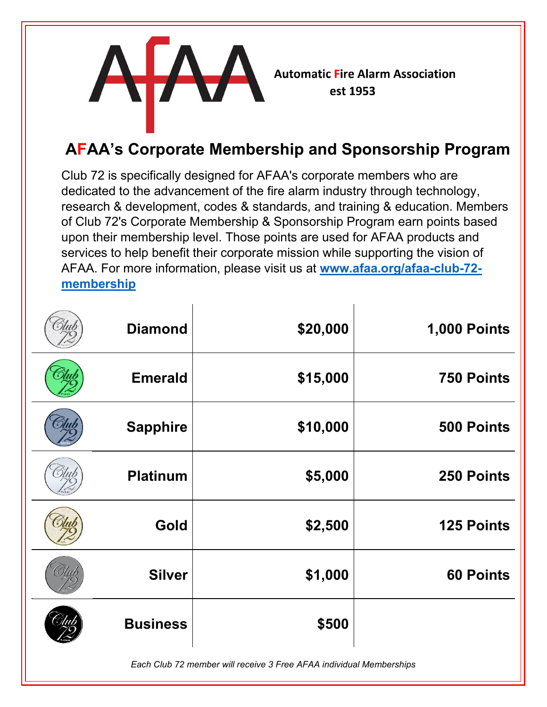

## **AFAA's Corporate Membership and Sponsorship Program**

Club 72 is specifically designed for AFAA's corporate members who are dedicated to the advancement of the fire alarm industry through technology, research & development, codes & standards, and training & education. Members of Club 72's Corporate Membership & Sponsorship Program earn points based upon their membership level. Those points are used for AFAA products and services to help benefit their corporate mission while supporting the vision of AFAA. For more information, please visit us at **[www.afaa.org/afaa-club-72](http://www.afaa.org/afaa-club-72-membership) [membership](http://www.afaa.org/afaa-club-72-membership)**

| <b>Diamond</b>  | \$20,000 | <b>1,000 Points</b> |
|-----------------|----------|---------------------|
| <b>Emerald</b>  | \$15,000 | <b>750 Points</b>   |
| <b>Sapphire</b> | \$10,000 | 500 Points          |
| <b>Platinum</b> | \$5,000  | 250 Points          |
| Gold            | \$2,500  | <b>125 Points</b>   |
| <b>Silver</b>   | \$1,000  | <b>60 Points</b>    |
| <b>Business</b> | \$500    |                     |

*Each Club 72 member will receive 3 Free AFAA individual Memberships*